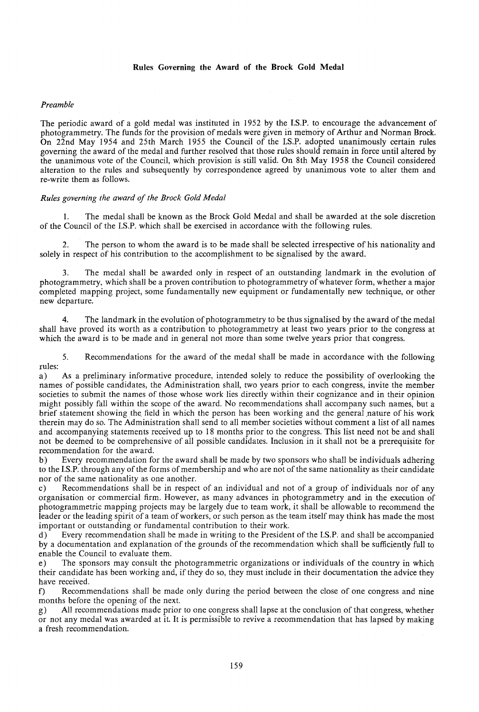### *Preamble*

The periodic award of a gold medal was instituted in 1952 by the I.S.P. to encourage the advancement of photogrammetry. The funds for the provision of medals were given in memory of Arthur and Norman Brock. On 22nd May 1954 and 25th March 1955 the Council of the I.S.P. adopted unanimously certain rules governing the award of the medal and further resolved that those rules should remain in force until altered by the unanimous vote of the Council, which.provision is still valid. On 8th May 1958 the Council considered alteration to the rules and subsequently by correspondence agreed by unanimous vote to alter them and re-write them as follows.

### *Rules governing the award of the Brock Gold Medal*

I. The medal shall be known as the Brock Gold Medal and shall be awarded at the sole discretion of the Council of the I.S.P. which shall be exercised in accordance with the following rules.

The person to whom the award is to be made shall be selected irrespective of his nationality and solely in respect of his contribution to the accomplishment to be signalised by the award.

3. The medal shall be awarded only in respect of an outstanding landmark in the evolution of photogrammetry, which shall be a proven contribution to photogrammetry of whatever form, whether a major completed mapping project, some fundamentally new equipment or fundamentally new technique, or other new departure.

4. The landmark in the evolution of photogrammetry to be thus signalised by the award of the medal shall have proved its worth as a contribution to photogrammetry at least two years prior to the congress at which the award is to be made and in general not more than some twelve years prior that congress.

5. Recommendations for the award of the medal shall be made in accordance with the following

rules:<br>a) a) As a preliminary informative procedure, intended solely to reduce the possibility of overlooking the names of possible candidates, the Administration shall, two years prior to each congress, invite the member societies to submit the names of those whose work lies directly within their cognizance and in their opinion might possibly fall within the scope of the award. No recommendations shall accompany such names, but a brief statement showing the field in which the person has been working and the general nature of his work therein may do so. The Administration shall send to all member societies without comment a list of all names and accompanying statements received up to 18 months prior to the congress. This list need not be and shall not be deemed to be comprehensive of all possible candidates. Inclusion in it shall not be a prerequisite for recommendation for the award.

b) Every recommendation for the award shall be made by two sponsors who shall be individuals adhering to the I.S.P. through any of the forms of membership and who are not of the same nationality as their candidate nor of the same nationality as one another.

c) Recommendations shall be in respect of an individual and not of a group of individuals nor of any organisation or commercial firm. However, as many advances in photogrammetry and in the execution of photogrammetric mapping projects may be largely due to team work, it shall be allowable to recommend the leader or the leading spirit of a team of workers, or such person as the team itself may think has made the most important or outstanding or fundamental contribution to their work.

d) Every recommendation shall be made in writing to the President of the I.S.P. and shall be accompanied by a documentation and explanation of the grounds of the recommendation which shall be sufficiently full to enable the Council to evaluate them.

e) The sponsors may consult the photogrammetric organizations or individuals of the country in which their candidate has been working and, if they do so, they must include in their documentation the advice they have received.

f) Recommendations shall be made only during the period between the close of one congress and nine months before the opening of the next.

g) All recommendations made prior to one congress shall lapse at the conclusion of that congress, whether or not any medal was awarded at it. It is permissible to revive a recommendation that has lapsed by making a fresh recommendation.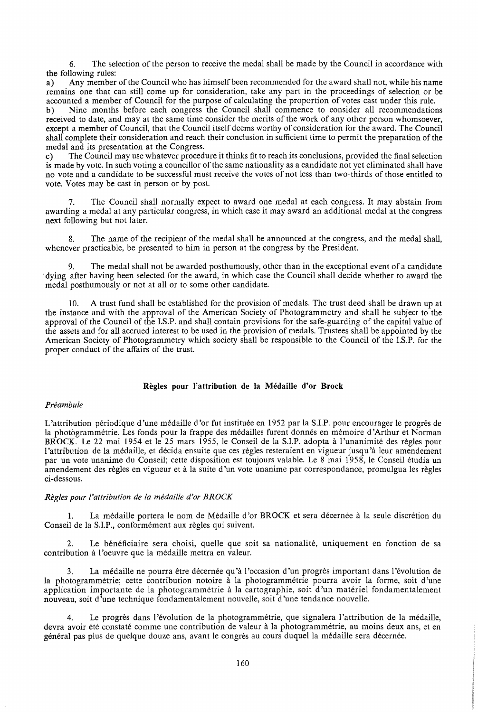6. The selection of the person to receive the medal shall be made by the Council in accordance with the following rules:

a) Any member of the Council who has himself been recommended for the award shall not, while his name remains one that can still come up for consideration, take any part in the proceedings of selection or be accounted a member of Council for the purpose of calculating the proportion of votes cast under this rule.

b) Nine months before each congress the Council shall commence to consider all recommendations received to date, and may at the same time consider the merits of the work of any other person whomsoever, except a member of Council, that the Council itself deems worthy of consideration for the award. The Council shall complete their consideration and reach their conclusion in sufficient time to permit the preparation of the medal and its presentation at the Congress.

c) The Council may use whatever procedure it thinks fit to reach its conclusions, provided the final selection is made by vote. In such voting a councillor of the same nationality as a candidate not yet eliminated shall have no vote and a candidate to. be successful must receive the votes of not less than two-thirds of those entitled to vote. Votes may be cast in person or by post.

The Council shall normally expect to award one medal at each congress. It may abstain from awarding a medal at any particular congress, in which case it may award an additional medal at the congress next following but not later.

8. The name of the recipient of the medal shall be announced at the congress, and the medal shall, whenever practicable, be presented to him in person at the congress by the President.

9. The medal shall not be awarded posthumously, other than in the exceptional event of a candidate dying after having been selected for the award, in which case the Council shall decide whether to award the medal posthumously or not at all or to some other candidate.

A trust fund shall be established for the provision of medals. The trust deed shall be drawn up at the instance and with the approval of the American Society of Photogrammetry and shall be subject to the approval of the Council of the I.S.P. and shall contain provisions for the safe-guarding of the capital value of the assets and for all accrued interest to be used in the provision of medals. Trustees shall be appointed by the American Society of Photogrammetry which society shall be responsible to the Council of the I.S.P. for the proper conduct of the affairs of the trust.

#### Regles **pour !'attribution** de Ia Medaille **d'or Brock**

#### *Preambule*

L'attribution periodique d'une medaille d'or fut instituee en 1952 par la S.I.P. pour encourager le progres de la photogrammétrie. Les fonds pour la frappe des médailles furent donnés en mémoire d'Arthur et Norman BROCK. Le 22 mai 1954 et le 25 mars 1955, le Conseil de la S.I.P. adopta a l'unanimite des regles pour 1 'attribution de la medaille, et decida ensuite que ces regles resteraient en vigueur jusqu 'a leur amendement par un vote unanime du Conseil; cette disposition est toujours valable. Le 8 mai 19 58, le Conseil etudia un amendement des règles en vigueur et à la suite d'un vote unanime par correspondance, promulgua les règles ci-dessous.

# *Regles pour /'attribution de Ia medaille d'or BROCK*

1. La médaille portera le nom de Médaille d'or BROCK et sera décernée à la seule discrétion du Conseil de la S.I.P., conformément aux règles qui suivent.

2. Le bénéficiaire sera choisi, quelle que soit sa nationalité, uniquement en fonction de sa contribution à l'oeuvre que la médaille mettra en valeur.

3. La medaille ne pourra etre decernee qu 'a 1 'occasion d 'un progres important dans 1 'evolution de la photogrammétrie; cette contribution notoire à la photogrammétrie pourra avoir la forme, soit d'une application importante de la photogrammétrie à la cartographie, soit d'un matériel fondamentalement nouveau, soit d 'une technique fondamentalement nouvelle, soit d 'une tendance nouvelle.

4. Le progres dans 1 'evolution de la photogrammetrie, que signalera 1 'attribution de la medaille, devra avoir été constaté comme une contribution de valeur à la photogrammétrie, au moins deux ans, et en général pas plus de quelque douze ans, avant le congrès au cours duquel la médaille sera décernée.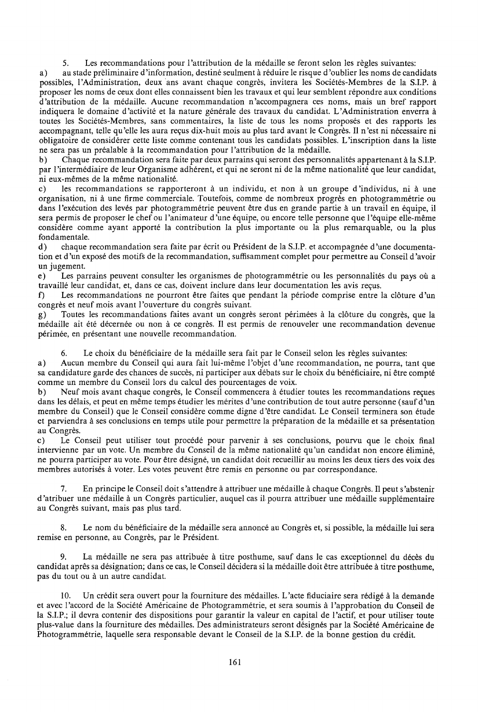5. Les recommandations pour 1 'attribution de la medaille se feront selon les regles suivantes:

a) au stade preliminaire d 'information, destine seulment a reduire le risque d 'oublier les noms de candidats possibles, l'Administration, deux ans avant chaque congrès, invitera les Sociétés-Membres de la S.I.P. à proposer les noms de ceux dont elles connaissent bien les travaux et qui leur semblent repondre aux conditions d 'attribution de la medaille. Aucune recommandation n 'accompagnera ces noms, mais un bref rapport indiquera le domaine d'activité et la nature générale des travaux du candidat. L'Administration enverra à toutes les Sociétés-Membres, sans commentaires, la liste de tous les noms proposés et des rapports les accompagnant, telle qu'elle les aura reçus dix-huit mois au plus tard avant le Congrès. Il n'est ni nécessaire ni obligatoire de considerer cette liste comme contenant tous les candidats possibles. L'inscription dans la liste ne sera pas un prealable a la recommandation pour 1 'attribution de la medaille.

b) Chaque recommandation sera faite par deux parrains qui seront des personnalités appartenant à la S.I.P. par 1 'intermediaire de leur Organisme adherent, et qui ne seront ni de la meme nationalite que leur candidat, ni eux-memes de la meme nationalite.

c) les recommandations se rapporteront à un individu, et non à un groupe d'individus, ni à une organisation, ni a une firme commerciale. Toutefois, comme de nombreux progres en photogrammetrie ou dans l'exécution des levés par photogrammétrie peuvent être dus en grande partie à un travail en équipe, il sera permis de proposer le chef ou l'animateur d'une équipe, ou encore telle personne que l'équipe elle-même considere comme ayant apporte la contribution la plus importante ou la plus remarquable, ou la plus fondamentale.

d) chaque recommandation sera faite par ecrit ou President de la S.I.P. et accompagnee d 'une documentation et d'un exposé des motifs de la recommandation, suffisamment complet pour permettre au Conseil d'avoir un jugement.

e) Les parrains peuvent consulter les organismes de photogrammétrie ou les personnalités du pays où a travaillé leur candidat, et, dans ce cas, doivent inclure dans leur documentation les avis reçus.

f) Les recommandations ne pourront être faites que pendant la période comprise entre la clôture d'un congrès et neuf mois avant l'ouverture du congrès suivant.

g) Toutes les recommandations faites avant un congres seront perimees a la cloture du congres, que la médaille ait été décernée ou non à ce congrès. Il est permis de renouveler une recommandation devenue perimee, en presentant une nouvelle recommandation.

Le choix du bénéficiaire de la médaille sera fait par le Conseil selon les règles suivantes:

a) Aucun membre du Conseil qui aura fait lui-meme 1 'objet d 'une recommandation, ne pourra, tant que sa candidature garde des chances de succès, ni participer aux débats sur le choix du bénéficiaire, ni être compté comme un membre du Conseil lors du calcul des pourcentages de voix.

b) Neuf mois avant chaque congrès, le Conseil commencera à étudier toutes les recommandations reçues dans les délais, et peut en même temps étudier les mérites d'une contribution de tout autre personne (sauf d'un membre du Conseil) que le Conseil considere comme digne d 'etre candidat. Le Conseil terminera son etude et parviendra a ses conclusions en temps utile pour permettre la preparation de la medaille et sa presentation au Congrès.

c) Le Conseil peut utiliser tout procédé pour parvenir à ses conclusions, pourvu que le choix final intervienne par un vote. Un membre du Conseil de la même nationalité qu'un candidat non encore éliminé, ne pourra participer au vote. Pour etre designe, un candidat doit recueillir au moins les deux tiers des voix des membres autorises a voter. Les votes peuvent etre remis en personne ou par correspondance.

7. En principe le Conseil doit s'attendre a attribuer une medaille a chaque Congres. II peut s'abstenir d 'atribuer une medaille a un Congres particulier, auquel cas il pourra attribuer une medaille supplementaire au Congres suivant, mais pas plus tard.

8. Le nom du bénéficiaire de la médaille sera annoncé au Congrès et, si possible, la médaille lui sera remise en personne, au Congrès, par le Président.

La médaille ne sera pas attribuée à titre posthume, sauf dans le cas exceptionnel du décès du candidat a pres sa designation; dans ce cas, le Conseil decidera si la medaille doit etre attribuee a titre posthume, pas du tout ou à un autre candidat.

10. Un crédit sera ouvert pour la fourniture des médailles. L'acte fiduciaire sera rédigé à la demande et avec l'accord de la Société Américaine de Photogrammétrie, et sera soumis à l'approbation du Conseil de la S.I.P.; il devra contenir des dispositions pour garantir la valeur en capital de 1 'actif, et pour utiliser toute plus-value dans la fourniture des medailles. Des administrateurs seront designes par la Societe Americaine de Photogrammetrie, laquelle sera responsable devant le Conseil de la S.I.P. de la bonne gestion du credit.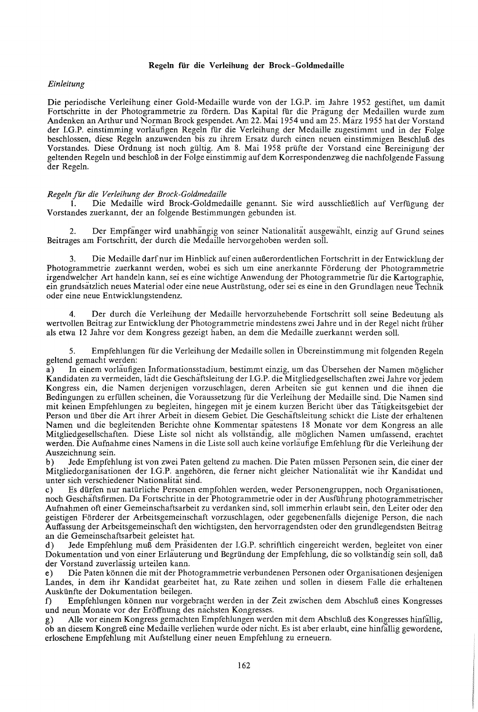### Regeln fiir die Verleihung der Brock-Goldmedaille

# *Einleitung*

Die periodische Verleihung einer Gold-Medaille wurde von der I.G.P. im Jahre 1952 gestiftet, um damit Fortschritte in der Photogrammetrie zu fördern. Das Kapital für die Pragung der Medaillen wurde zum Andenken an Arthur und Norman Brock gespendet. Am 22. Mai 1954 und am 25. Marz 1955 hat der Vorstand der I.G.P. einstimming vorläufigen Regeln für die Verleihung der Medaille zugestimmt und in der Folge beschlossen, diese Regeln anzuwenden bis zu ihrem Ersatz durch einen neuen einstimmigen Beschluß des Vorstandes. Diese Ordnung ist noch gültig. Am 8. Mai 1958 prüfte der Vorstand eine Bereinigung der geltenden Regeln und beschloß in der Folge einstimmig auf dem Korrespondenzweg die nachfolgende Fassung der Regeln.

# *Regeln fur die Verleihung der Brock-Goldmedaille*

Die Medaille wird Brock-Goldmedaille genannt. Sie wird ausschließlich auf Verfügung der Vorstandes zuerkannt, der an folgende Bestimmungen gebunden ist.

2. Der Empfanger wird unabhangig von seiner Nationalitat ausgewahlt, einzig auf Grund seines Beitrages am Fortschritt, der durch die Medaille hervorgehoben werden soll.

Die Medaille darf nur im Hinblick auf einen außerordentlichen Fortschritt in der Entwicklung der Photogrammetrie zuerkannt werden, wobei es sich um eine anerkannte Förderung der Photogrammetrie irgendwelcher Art handeln kann, sei es eine wichtige Anwendung der Photogrammetrie für die Kartographie, ein grundsatzlich neues Material oder eine neue Austriistung, oder sei es eine in den Grundlagen neue Technik oder eine neue Entwicklungstendenz.

4. Der durch die Verleihung der Medaille hervorzuhebende Fortschritt soll seine Bedeutung als wertvoilen Beitrag zur Entwicklung der Photogrammetrie mindestens zwei Jahre und in der Regel nicht friiher als etwa 12 Jahre vor dem Kongress gezeigt haben, an dem die Medaiile zuerkannt werden soll.

5. Empfehlungen flir die Verleihung der Medaille sollen in Ubereinstimmung mit folgenden Regeln geltend gemacht werden:

a) In einem vorläufigen Informationsstadium, bestimmt einzig, um das Übersehen der Namen möglicher Kandidaten zu vermeiden, ladt die Geschaftsleitung der I.G.P. die Mitgliedgeseilschaften zwei Jahre vor jedem Kongress ein, die Namen derjenigen vorzuschlagen, deren Arbeiten sie gut kennen und die ihnen die Bedingungen zu erfüllen scheinen, die Voraussetzung für die Verleihung der Medaille sind. Die Namen sind mit keinen Empfehlungen zu begleiten, hingegen mit je einem kurzen Bericht über das Tätigkeitsgebiet der Person und tiber die Art ihrer Arbeit in diesem Gebiet. Die Geschaftsleitung schickt die Liste der erhaltenen Namen und die begleitenden Berichte ohne Kommentar spatestens 18 Monate vor dem Kongress an alle Mitgliedgeseilschaften. Diese Liste sol nicht als vollstandig, aile moglichen Namen umfassend, erachtet werden. Die Aufnahme eines Namens in die Liste soll auch keine vorlaufige Emfehlung flir die Verleihung der Auszeichnung sein.

b) Jede Empfehlung ist von zwei Paten geltend zu machen. Die Paten miissen Personen sein, die einer der Mitgliedorganisationen der I.G.P. angehoren, die ferner nicht gleicher Nationalitat wie ihr Kandidat und unter sich verschiedener Nationalitat sind.

c) Es dürfen nur natürliche Personen empfohlen werden, weder Personengruppen, noch Organisationen, noch Geschaftsfirmen. Da Fortschritte in der Photogrammetrie oder in der Ausflihrung photogrammetrischer Aufnahmen oft einer Gemeinschaftsarbeit zu verdanken sind, soil immerhin erlaubt sein, den Leiter oder den geistigen Forderer der Arbeitsgemeinschaft vorzuschlagen, oder gegebenenfalls diejenige Person, die nach Auffassung der Arbeitsgemeinschaft den wichtigsten, den hervorragendsten oder den grundlegendsten Beitrag an die Gemeinschaftsarbeit geleistet hat.

d) Jede Empfehlung muß dem Prasidenten der I.G.P. schriftlich eingereicht werden, begleitet von einer Dokumentation und von einer Erlauterung und Begründung der Empfehlung, die so vollstandig sein soll, daß der Vorstand zuverlassig urteilen kann.

e) Die Paten können die mit der Photogrammetrie verbundenen Personen oder Organisationen desjenigen Landes, in dem ihr Kandidat gearbeitet hat, zu Rate zeihen und sollen in diesem Falle die erhaltenen Auskiinfte der Dokumentation beilegen.

f) Empfehlungen können nur vorgebracht werden in der Zeit zwischen dem Abschluß eines Kongresses und neun Monate vor der Eroffnung des nachsten Kongresses.

g) Alle vor einem Kongress gemachten Empfehlungen werden mit dem Abschluß des Kongresses hinfällig, ob an diesem Kongreß eine Medaille verliehen wurde oder nicht. Es ist aber erlaubt, eine hinfällig gewordene, erloschene Empfehlung mit Aufstellung einer neuen Empfehlung zu erneuern.